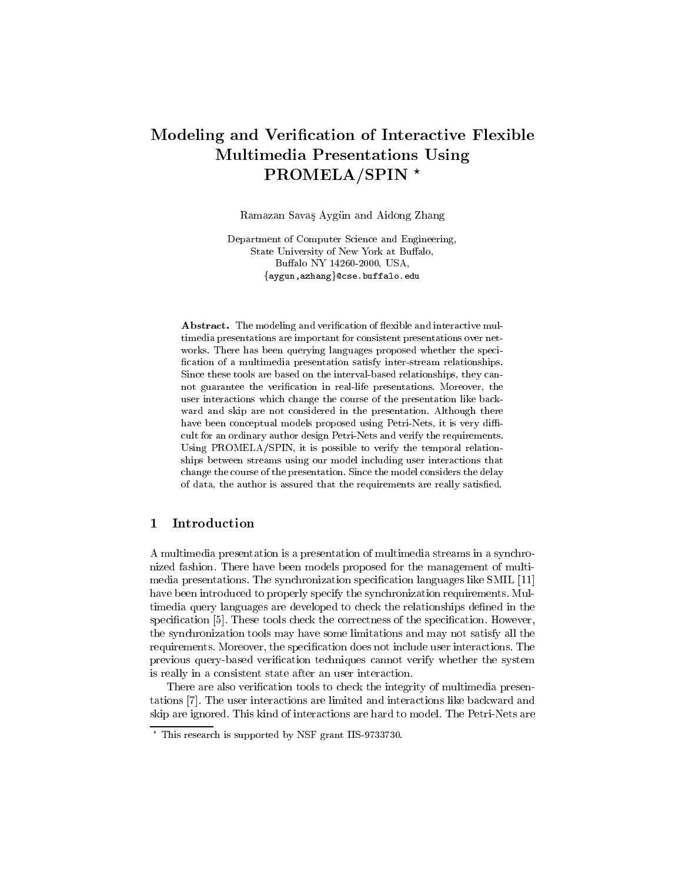# Modeling and Verication of Interactive Flexible Multimedia Presentations Using PROMELA/SPIN \*

Ramazan Savas Aygun and Aidong Zhang

Department of Computer Science and Engineering, State University of New York at Buffalo, Buffalo NY 14260-2000, USA, {aygun,azhang}@cse.buffalo.edu

Abstract. The modeling and verification of flexible and interactive multimedia presentations are important for consistent presentations over net works. There has been querying languages proposed whether the speci fication of a multimedia presentation satisfy inter-stream relationships. Since these tools are based on the interval-based relationships, they cannot guarantee the verification in real-life presentations. Moreover, the user interactions which change the course of the presentation like back ward and skip are not considered in the presentation. Although there have been conceptual models proposed using Petri-Nets, it is very difficult for an ordinary author design Petri-Nets and verify the requirements. Using PROMELA/SPIN, it is possible to verify the temporal relationships between streams using our model including user interactions that change the course of the presentation. Since the model considers the delay of data, the author is assured that the requirements are really satisfied.

## 1 Introduction

A multimedia presentation is a presentation of multimedia streams in a synchronized fashion. There have been models proposed for the management of multimedia presentations. The synchronization specication languages like SMIL [11] have been introduced to properly specify the synchronization requirements. Multimedia query languages are developed to check the relationships defined in the specification [5]. These tools check the correctness of the specification. However, the synchronization tools may have some limitations and may not satisfy all the requirements. Moreover, the specification does not include user interactions. The previous query-based verification techniques cannot verify whether the system is really in a consistent state after an user interaction.

There are also verification tools to check the integrity of multimedia presentations [7]. The user interactions are limited and interactions like backward and skip are ignored. This kind of interactions are hard to model. The Petri-Nets are

<sup>?</sup> This research is supported by NSF grant IIS-9733730.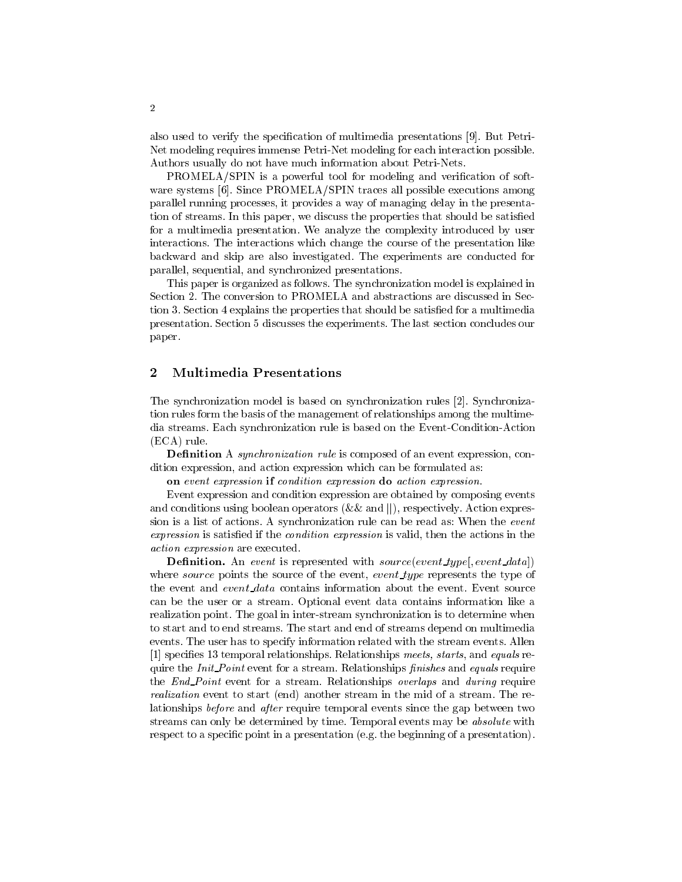also used to verify the specification of multimedia presentations [9]. But Petri-Net modeling requires immense Petri-Net modeling for each interaction possible. Authors usually do not have much information about Petri-Nets.

PROMELA/SPIN is a powerful tool for modeling and verification of software systems [6]. Since PROMELA/SPIN traces all possible executions among parallel running processes, it provides a way of managing delay in the presentation of streams. In this paper, we discuss the properties that should be satised for a multimedia presentation. We analyze the complexity introduced by user interactions. The interactions which change the course of the presentation like backward and skip are also investigated. The experiments are conducted for parallel, sequential, and synchronized presentations.

This paper is organized as follows. The synchronization model is explained in Section 2. The conversion to PROMELA and abstractions are discussed in Section 3. Section 4 explains the properties that should be satised for a multimedia presentation. Section 5 discusses the experiments. The last section concludes our paper.

#### $\overline{2}$ 2 Multimedia Presentations

The synchronization model is based on synchronization rules [2]. Synchronization rules form the basis of the management of relationships among the multimedia streams. Each synchronization rule is based on the Event-Condition-Action (ECA) rule.

**Definition** A *synchronization rule* is composed of an event expression, condition expression, and action expression which can be formulated as:

on event expression if condition expression do action expression.

Event expression and condition expression are obtained by composing events and conditions using boolean operators (&& and ||), respectively. Action expression is a list of actions. A synchronization rule can be read as: When the event expression is satisfied if the *condition expression* is valid, then the actions in the action expression are executed.

Definition. An event is represented with source(event type[, event data]) where source points the source of the event, event type represents the type of the event and event data contains information about the event. Event source can be the user or a stream. Optional event data contains information like a realization point. The goal in inter-stream synchronization is to determine when to start and to end streams. The start and end of streams depend on multimedia events. The user has to specify information related with the stream events. Allen [1] specifies 13 temporal relationships. Relationships meets, starts, and equals require the *Init\_Point* event for a stream. Relationships  $\hat{f}$ *nishes* and *equals* require the *End\_Point* event for a stream. Relationships *overlaps* and *during* require realization event to start (end) another stream in the mid of a stream. The relationships before and after require temporal events since the gap between two streams can only be determined by time. Temporal events may be *absolute* with respect to a specic point in a presentation (e.g. the beginning of a presentation).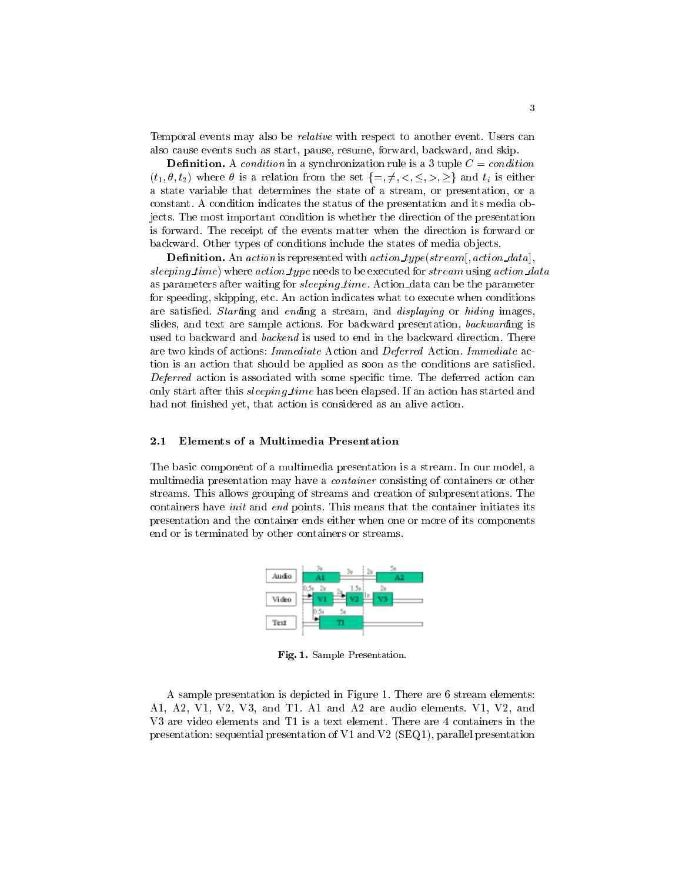Temporal events may also be relative with respect to another event. Users can also cause events such as start, pause, resume, forward, backward, and skip.

**Definition.** A condition in a synchronization rule is a 3 tuple  $C = condition$  $(t_1, \theta, t_2)$  where  $\theta$  is a relation from the set  $\{=, \neq, \leq, \leq, \geq, \geq\}$  and  $t_i$  is either a state variable that determines the state of a stream, or presentation, or a constant. A condition indicates the status of the presentation and its media objects. The most important condition is whether the direction of the presentation is forward. The receipt of the events matter when the direction is forward or backward. Other types of conditions include the states of media objects.

**Definition.** An action is represented with action type(stream[, action data]; sleeping  $time$ ) where  $action\_type$  needs to be executed for  $stream$  using  $action\_data$ as parameters after waiting for *sleeping time*. Action data can be the parameter for speeding, skipping, etc. An action indicates what to execute when conditions are satisfied. Starting and ending a stream, and displaying or hiding images, slides, and text are sample actions. For backward presentation, backwarding is used to backward and *backend* is used to end in the backward direction. There are two kinds of actions: Immediate Action and Deferred Action. Immediate action is an action that should be applied as soon as the conditions are satised. Deferred action is associated with some specific time. The deferred action can only start after this *sleeping time* has been elapsed. If an action has started and had not finished yet, that action is considered as an alive action.

#### 2.1 Elements of a Multimedia Presentation

The basic component of a multimedia presentation is a stream. In our model, a multimedia presentation may have a *container* consisting of containers or other streams. This allows grouping of streams and creation of subpresentations. The containers have *init* and *end* points. This means that the container initiates its presentation and the container ends either when one or more of its components end or is terminated by other containers or streams.



Fig. 1. Sample Presentation.

A sample presentation is depicted in Figure 1. There are 6 stream elements: A1, A2, V1, V2, V3, and T1.A1 and A2 are audio elements. V1, V2, and V3 are video elements and T1 is a text element. There are 4 containers in the presentation: sequential presentation of V1 and V2 (SEQ1), parallel presentation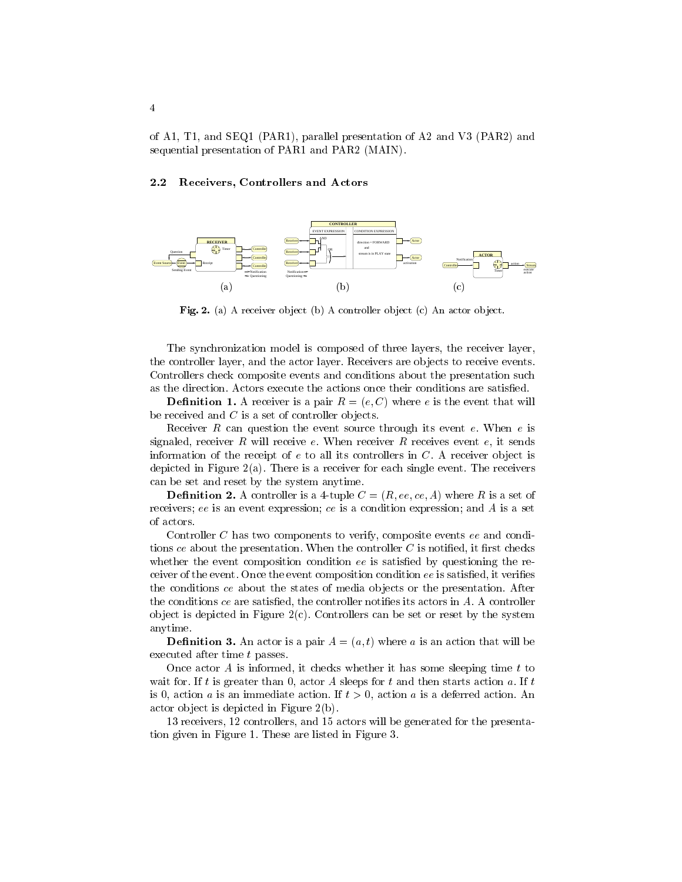of A1, T1, and SEQ1 (PAR1), parallel presentation of A2 and V3 (PAR2) and sequential presentation of PAR1 and PAR2 (MAIN).

### 2.2 Receivers, Controllers and Actors



Fig. 2. (a) A receiver object (b) A controller object (c) An actor object.

The synchronization model is composed of three layers, the receiver layer, the controller layer, and the actor layer. Receivers are objects to receive events. Controllers check composite events and conditions about the presentation such as the direction. Actors execute the actions once their conditions are satisfied.

**Definition 1.** A receiver is a pair  $R = (e, C)$  where e is the event that will be received and  $C$  is a set of controller objects.

Receiver R can question the event source through its event  $e$ . When  $e$  is signaled, receiver  $R$  will receive  $e$ . When receiver  $R$  receives event  $e$ , it sends information of the receipt of  $e$  to all its controllers in  $C$ . A receiver object is depicted in Figure 2(a). There is a receiver for each single event. The receivers can be set and reset by the system anytime.

**Definition 2.** A controller is a 4-tuple  $C = (R, ee, ce, A)$  where R is a set of receivers; ee is an event expression; ce is a condition expression; and  $A$  is a set of actors.

Controller C has two components to verify, composite events ee and conditions ce about the presentation. When the controller  $C$  is notified, it first checks whether the event composition condition  $ee$  is satisfied by questioning the receiver of the event. Once the event composition condition  $ee$  is satisfied, it verifies the conditions ce about the states of media objects or the presentation. After the conditions  $ce$  are satisfied, the controller notifies its actors in  $A$ . A controller object is depicted in Figure  $2(c)$ . Controllers can be set or reset by the system anytime.

**Definition 3.** An actor is a pair  $A = (a, t)$  where a is an action that will be executed after time t passes.

Once actor  $A$  is informed, it checks whether it has some sleeping time  $t$  to wait for. If t is greater than 0, actor A sleeps for t and then starts action a. If t is 0, action *a* is an immediate action. If  $t > 0$ , action *a* is a deferred action. An actor ob ject is depicted in Figure 2(b).

13 receivers, 12 controllers, and 15 actors will be generated for the presentation given in Figure 1. These are listed in Figure 3.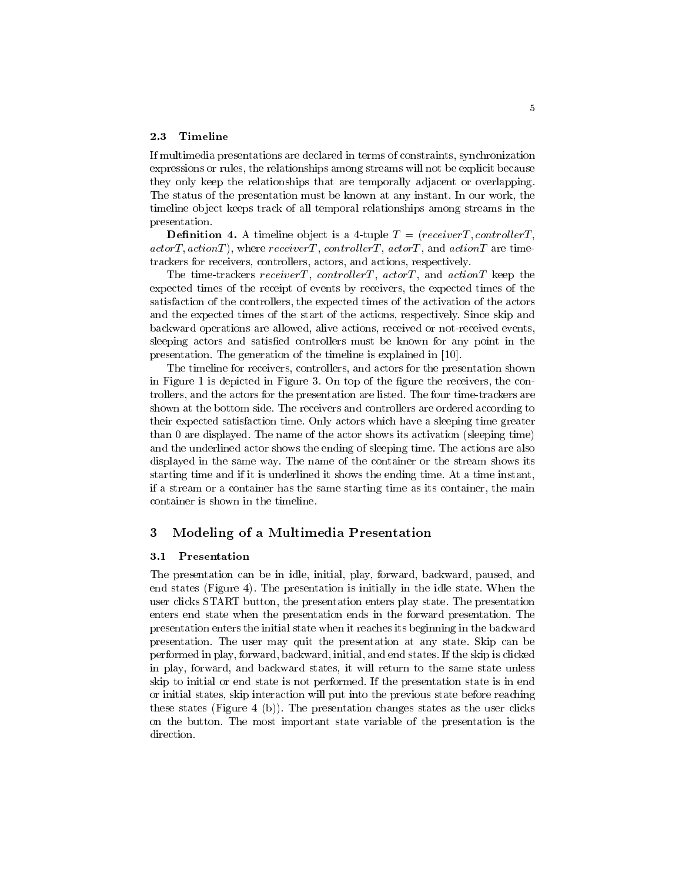If multimedia presentations are declared in terms of constraints, synchronization expressions or rules, the relationships among streams will not be explicit because they only keep the relationships that are temporally adjacent or overlapping. The status of the presentation must be known at any instant. In our work, the timeline ob ject keeps track of all temporal relationships among streams in the presentation.

**Definition 4.** A timeline object is a 4-tuple  $T = (receiver, controllerT,$  $actorT, actionT$ , where  $receiver, controllerT, actorT, and actionT$  are timetrackers for receivers, controllers, actors, and actions, respectively.

The time-trackers receiverT, controllerT,  $actorT$ , and  $actionT$  keep the expected times of the receipt of events by receivers, the expected times of the satisfaction of the controllers, the expected times of the activation of the actors and the expected times of the start of the actions, respectively. Since skip and backward operations are allowed, alive actions, received or not-received events, sleeping actors and satisfied controllers must be known for any point in the presentation. The generation of the timeline is explained in [10].

The timeline for receivers, controllers, and actors for the presentation shown in Figure 1 is depicted in Figure 3. On top of the figure the receivers, the controllers, and the actors for the presentation are listed. The four time-trackers are shown at the bottom side. The receivers and controllers are ordered according to their expected satisfaction time. Only actors which have a sleeping time greater than 0 are displayed. The name of the actor shows its activation (sleeping time) and the underlined actor shows the ending of sleeping time. The actions are also displayed in the same way. The name of the container or the stream shows its starting time and if it is underlined it shows the ending time. At a time instant, if a stream or a container has the same starting time as its container, the main container is shown in the timeline.

### 3 Modeling of a Multimedia Presentation

#### 3.1 Presentation

The presentation can be in idle, initial, play, forward, backward, paused, and end states (Figure 4). The presentation is initially in the idle state. When the user clicks START button, the presentation enters play state. The presentation enters end state when the presentation ends in the forward presentation. The presentation enters the initial state when it reaches its beginning in the backward presentation. The user may quit the presentation at any state. Skip can be performed in play, forward, backward, initial, and end states. If the skip is clicked in play, forward, and backward states, it will return to the same state unless skip to initial or end state is not performed. If the presentation state is in end or initial states, skip interaction will put into the previous state before reaching these states (Figure 4 (b)). The presentation changes states as the user clicks on the button. The most important state variable of the presentation is the direction.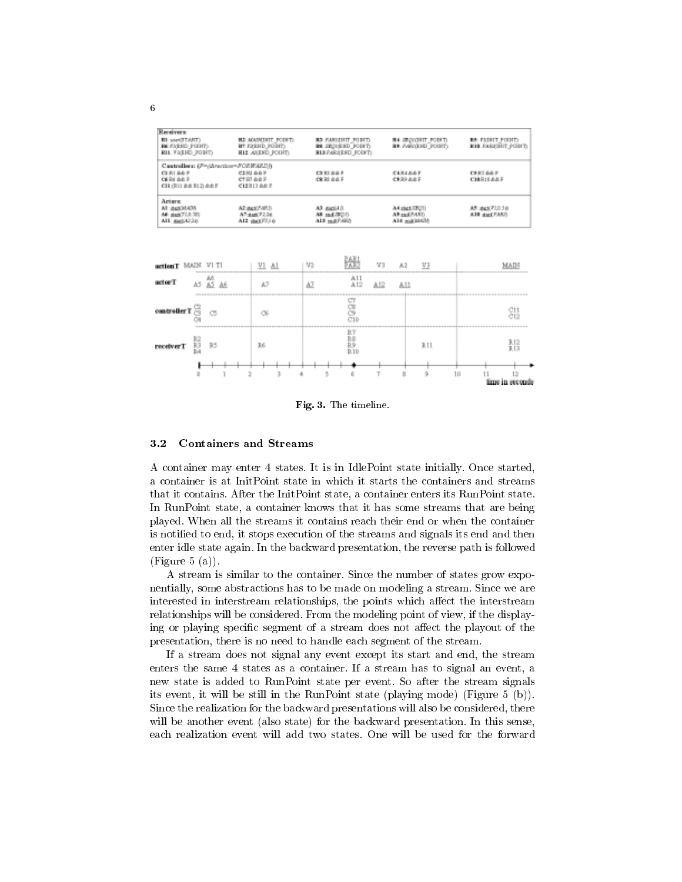| Receivers:                                                      |                                                                    |                                                                             |                                                        |                                                       |  |
|-----------------------------------------------------------------|--------------------------------------------------------------------|-----------------------------------------------------------------------------|--------------------------------------------------------|-------------------------------------------------------|--|
| <b>TRATTEMET</b><br><b>REFAIRING POINTS</b><br>RIL FATHE POINT: | H2: AOAWINTE POINT:<br><b>RT FIERND POINTS</b><br>RIZ ANEXO POINT: | <b>BR PANISHIT FORT)</b><br><b>RESOURCE FORET</b><br><b>RIARATSD POIST:</b> | <b>B4: SECONDIT FORET)</b><br><b>BR AGGUING POINTS</b> | <b>RA FAIRLY POINT:</b><br><b>R18 FARITHIT POINT:</b> |  |
| Cantrollers: (F=/direction=FORWARI))                            |                                                                    |                                                                             |                                                        |                                                       |  |
| CI 81 66 F<br>OERLAUF<br>CH3R11 00 R12) && F                    | C2RI 667<br>CT.R7 0.0 F<br>C12313-0-0: F                           | <b>CB 81 0 0 F</b><br><b>CR30 dd F</b>                                      | では消えるるド<br>CRR9-8-8 P                                  | <b>CAR1 66 F</b><br>CHESILEAF                         |  |
| Actors<br>All: maxXMADA<br>M: dat/7(8.30)<br>All metal26        | AZ:aux/5465<br>A7:4a6(F2.24)<br>A12 dig177.10                      | AR BEEAD<br>AR md/R(2)<br>A13 millFARD                                      | A4 zist SR2D<br><b>AR sad PARD</b><br>Ali4 mal/al420   | M5: dat/71.03 0<br>A10 dati FASS                      |  |
| action T MAIN VI TI                                             | $VI$ $AI$                                                          | V2                                                                          | V3<br>V3<br>3.2                                        | MADI                                                  |  |
| A6<br>sctorT<br>85 AE<br>AS.                                    | A7                                                                 | A11<br>A7<br>A12                                                            | 812<br>A11                                             |                                                       |  |
| controllerT<br>cs                                               | œ                                                                  | es<br>S<br>C10                                                              |                                                        | СĦ<br>C12                                             |  |
|                                                                 |                                                                    |                                                                             |                                                        |                                                       |  |

Fig. 3. The timeline.

뾺

12 κ in second

RH.

#### 3.2 Containers and Streams

 $\overline{g}g\overline{g}$ 

receiver<br>T $\begin{array}{cc} \mathbb{R}2 \\ \mathbb{R}3 \\ \mathbb{R}4 \end{array}$ 

A container may enter 4 states. It is in IdlePoint state initially. Once started, a container is at InitPoint state in which it starts the containers and streams that it contains. After the InitPoint state, a container enters its RunPoint state. In RunPoint state, a container knows that it has some streams that are being played. When all the streams it contains reach their end or when the container is notied to end, it stops execution of the streams and signals its end and then enter idle state again. In the backward presentation, the reverse path is followed  $(Figure 5 (a)).$ 

A stream is similar to the container. Since the number of states grow exponentially, some abstractions has to be made on modeling a stream. Since we are interested in interstream relationships, the points which affect the interstream relationships will be considered. From the modeling point of view, if the displaying or playing specific segment of a stream does not affect the playout of the presentation, there is no need to handle each segment of the stream.

If a stream does not signal any event except its start and end, the stream enters the same 4 states as a container. If a stream has to signal an event, a new state is added to RunPoint state per event. So after the stream signals its event, it will be still in the RunPoint state (playing mode) (Figure 5 (b)). Since the realization for the backward presentations will also be considered, there will be another event (also state) for the backward presentation. In this sense, each realization event will add two states. One will be used for the forward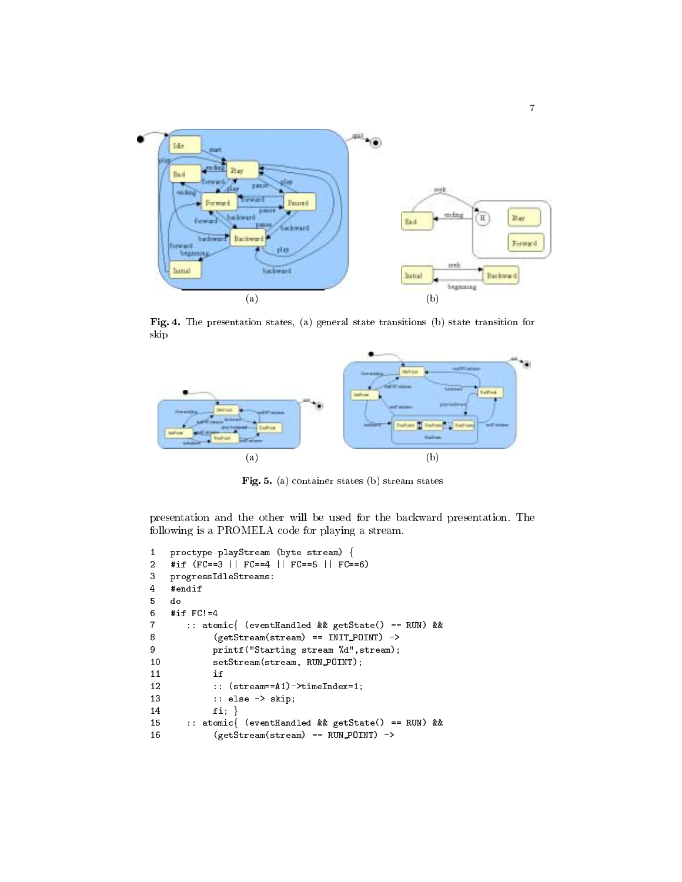

Fig. 4. The presentation states, (a) general state transitions (b) state transition for skip



Fig. 5. (a) container states (b) stream states

presentation and the other will be used for the backward presentation. The following is a PROMELA code for playing a stream.

```
1 proctype playStream (byte stream) f
2 #if (FC==3 || FC==4 || FC==5 || FC==6)
3 progressIdleStreams:
4 #endif
5 do
6 #if FC!=4
7 :: atomicf (eventHandled && getState() == RUN) &&
8 (getStream(stream) == INIT POINT) ->
9 printf("Starting stream %d",stream);
10 setStream(stream, RUN_POINT);
12 :: (stream==A1)->timeIndex=1;
13 :: else -> skip;
14 fi; }15 :: atomicf (eventHandled && getState() == RUN) &&
16 (getStream(stream) == RUN POINT) ->
```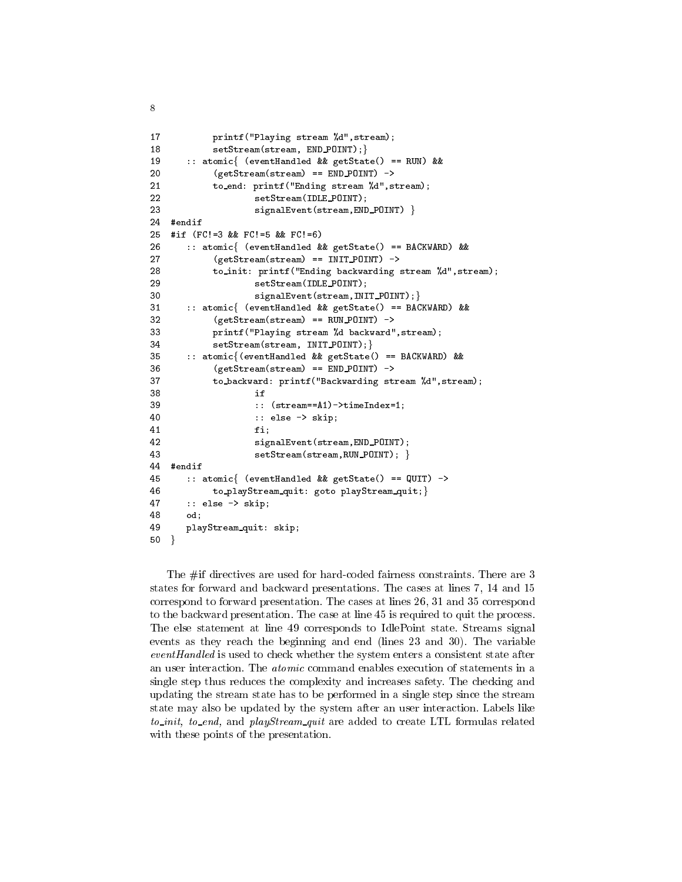```
printf("Playing stream %d", stream);
1718 setStream(stream, END_POINT); }
19 :: atomicf (eventHandled && getState() == RUN) &&
           (getStream(stream) == END_POINT) ->
20
21to_end: printf("Ending stream %d", stream);
22 setStream(IDLE POINT);
23 signalEvent(stream, END_POINT) }
24
   #endif
25 #if (FC!=3 && FC!=5 && FC!=6)
26 :: atomicf (eventHandled && getState() == BACKWARD) &&
           (getStream(stream) == INT POINT) ->2728
           to_init: printf("Ending backwarding stream ",d", stream);
29
                  setStream(IDLE_POINT);
30 signalEvent(stream, INIT_POINT); }
31 :: atomic{ (eventHandled && getState() == BACKWARD) &&
32 (getStream(stream) == RUN POINT) ->
33
           printf("Playing stream %d backward", stream);
34 setStream(stream, INIT_POINT); }
35 :: atomicf(eventHandled && getState() == BACKWARD) &&
           (getStream(stream) == END_POINT) ->36
37 to backward: printf("Backwarding stream %d",stream);
39 :: (stream==A1)->timeIndex=1;
40:: else -> skip;
-1 fixed by -1 fixed by -1 fixed by -1 fixed by -1 fixed by -1 fixed by -142
                  signalEvent(stream, END_POINT);
43 setStream(stream, RUN_POINT); }
44
   #endif
45 :: atomicf (eventHandled && getState() == QUIT) ->
46 to playStream quit: goto playStream quit; }
47 :: else -> skip;
48.88 odinary and 48.849
      playStream_quit: skip;
50}
```
 $\mathbf{8}$ 

The #if directives are used for hard-coded fairness constraints. There are 3 states for forward and backward presentations. The cases at lines 7, 14 and 15 correspond to forward presentation. The cases at lines 26, 31 and 35 correspond to the backward presentation. The case at line 45 is required to quit the process. The else statement at line 49 corresponds to IdlePoint state. Streams signal events as they reach the beginning and end (lines 23 and 30). The variable  $eventH and led$  is used to check whether the system enters a consistent state after an user interaction. The atomic command enables execution of statements in a single step thus reduces the complexity and increases safety. The checking and updating the stream state has to be performed in a single step since the stream state may also be updated by the system after an user interaction. Labels like to init, to end, and playStream quit are added to create LTL formulas related with these points of the presentation.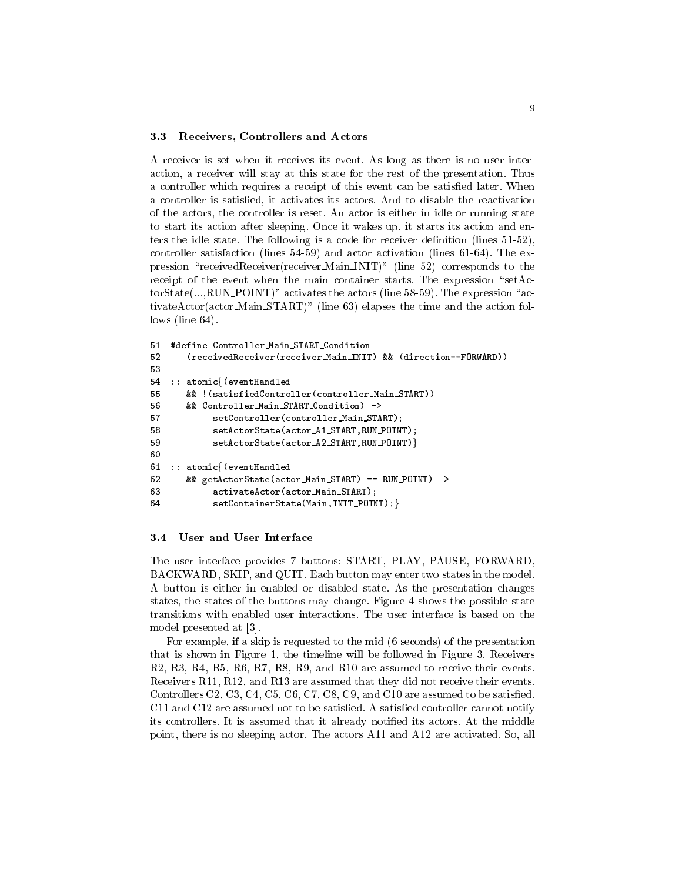#### 3.3 Receivers, Controllers and Actors

A receiver is set when it receives its event. As long as there is no user interaction, a receiver will stay at this state for the rest of the presentation. Thus a controller which requires a receipt of this event can be satisfied later. When a controller is satised, it activates its actors. And to disable the reactivation of the actors, the controller is reset. An actor is either in idle or running state to start its action after sleeping. Once it wakes up, it starts its action and enters the idle state. The following is a code for receiver definition (lines  $51-52$ ), controller satisfaction (lines 54-59) and actor activation (lines 61-64). The expression "receivedReceiver(receiver Main INIT)" (line 52) corresponds to the receipt of the event when the main container starts. The expression "setAc- $\text{torState}(...,\text{RUN\_POINT})$ " activates the actors (line 58-59). The expression "activateActor(actor Main START)" (line 63) elapses the time and the action follows (line 64).

```
51 #define Controller Main START Condition
52
       (receivedReceiver(receiver_Main_INIT) && (direction==FORWARD))
53
54 :: atomicf(eventHandled
      && !(satisfiedController(controller_Main_START))
55
56 && Controller Main START Condition) ->
           setController(controller_Main_START);
57
           setActorState(actor_A1_START,RUN_POINT);
58
59 setActorState(actor_A2_START,RUN_POINT)}
60
61 :: atomicf(eventHandled
62 && getActorState(actor Main START) == RUN POINT) ->
63 activateActor(actor Main START);
64 setContainerState(Main, INIT_POINT); }
```
#### $3.4$ User and User Interface

The user interface provides 7 buttons: START, PLAY, PAUSE, FORWARD, BACKWARD, SKIP, and QUIT. Each button may enter two states in the model. A button is either in enabled or disabled state. As the presentation changes states, the states of the buttons may change. Figure 4 shows the possible state transitions with enabled user interactions. The user interface is based on the model presented at [3].

For example, if a skip is requested to the mid (6 seconds) of the presentation that is shown in Figure 1, the timeline will be followed in Figure 3. Receivers R2, R3, R4, R5, R6, R7, R8, R9, and R10 are assumed to receive their events. Receivers R11, R12, and R13 are assumed that they did not receive their events. Controllers C2, C3, C4, C5, C6, C7, C8, C9, and C10 are assumed to be satisfied. C11 and C12 are assumed not to be satisfied. A satisfied controller cannot notify its controllers. It is assumed that it already notified its actors. At the middle point, there is no sleeping actor. The actors A11 and A12 are activated. So, all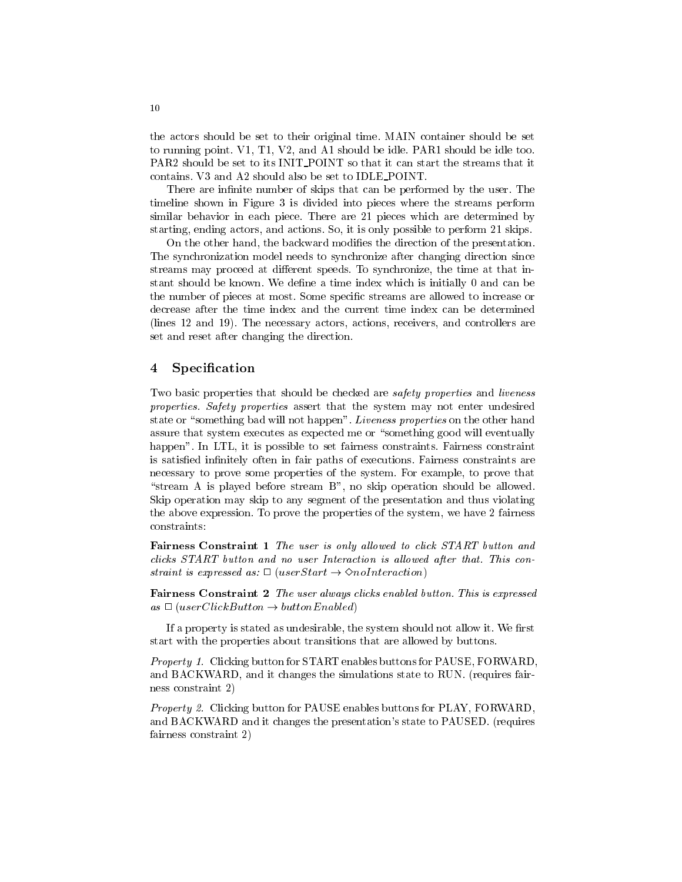the actors should be set to their original time. MAIN container should be set to running point. V1, T1, V2, and A1 should be idle. PAR1 should be idle too. PAR2 should be set to its INIT\_POINT so that it can start the streams that it contains. V3 and A2 should also be set to IDLE POINT.

There are infinite number of skips that can be performed by the user. The timeline shown in Figure 3 is divided into pieces where the streams perform similar behavior in each piece. There are 21 pieces which are determined by starting, ending actors, and actions. So, it is only possible to perform 21 skips.

On the other hand, the backward modies the direction of the presentation. The synchronization model needs to synchronize after changing direction since streams may proceed at different speeds. To synchronize, the time at that instant should be known. We define a time index which is initially 0 and can be the number of pieces at most. Some specic streams are allowed to increase or decrease after the time index and the current time index can be determined (lines 12 and 19). The necessary actors, actions, receivers, and controllers are set and reset after changing the direction.

### 4 Specification

Two basic properties that should be checked are *safety properties* and *liveness* properties. Safety properties assert that the system may not enter undesired state or "something bad will not happen". Liveness properties on the other hand assure that system executes as expected me or "something good will eventually happen". In LTL, it is possible to set fairness constraints. Fairness constraint is satisfied infinitely often in fair paths of executions. Fairness constraints are necessary to prove some properties of the system. For example, to prove that "stream A is played before stream  $B$ ", no skip operation should be allowed. Skip operation may skip to any segment of the presentation and thus violating the above expression. To prove the properties of the system, we have 2 fairness constraints:

Fairness Constraint 1 The user is only allowed to click START button and clicks START button and no user Interaction is allowed after that. This constraint is expressed as:  $\Box$  (userStart  $\rightarrow$   $\Diamond$ noInteraction)

Fairness Constraint 2 The user always clicks enabled button. This is expressed  $as \Box$  (userClickButton  $\rightarrow$  buttonEnabled)

If a property is stated as undesirable, the system should not allow it. We first start with the properties about transitions that are allowed by buttons.

Property 1. Clicking button for START enables buttons for PAUSE, FORWARD, and BACKWARD, and it changes the simulations state to RUN. (requires fairness constraint 2) ness constraint 2)

Property 2. Clicking button for PAUSE enables buttons for PLAY, FORWARD, and BACKWARD and it changes the presentation's state to PAUSED. (requires fairness constraint 2)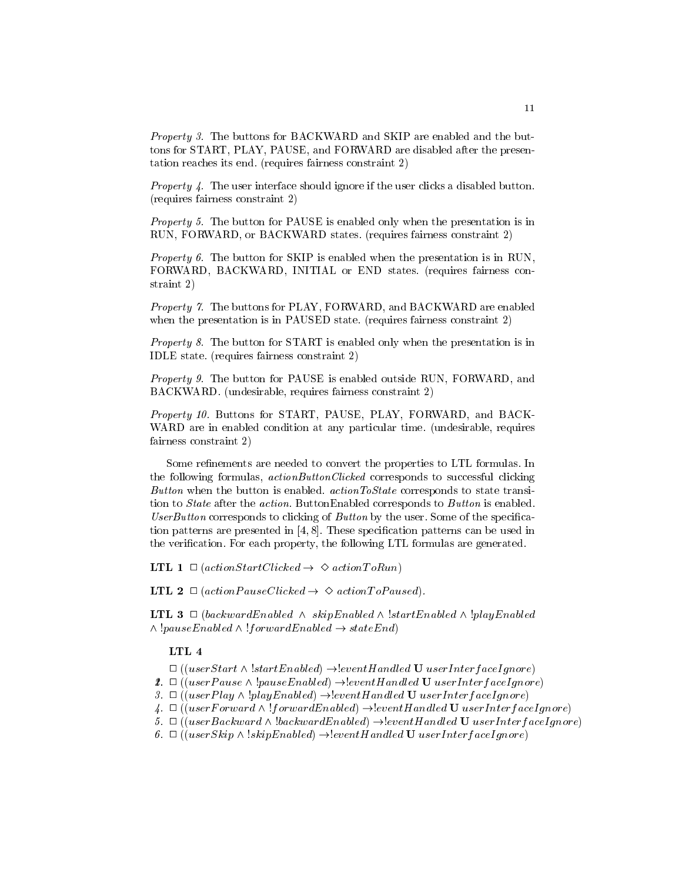Property 3. The buttons for BACKWARD and SKIP are enabled and the buttons for START, PLAY, PAUSE, and FORWARD are disabled after the presentation reaches its end. (requires fairness constraint 2)

*Property 4.* The user interface should ignore if the user clicks a disabled button. (requires fairness constraint 2)

Property 5. The button for PAUSE is enabled only when the presentation is in RUN, FORWARD, or BACKWARD states. (requires fairness constraint 2)

Property 6. The button for SKIP is enabled when the presentation is in RUN, FORWARD, BACKWARD, INITIAL or END states. (requires fairness constraint 2)

Property 7. The buttons for PLAY, FORWARD, and BACKWARD are enabled when the presentation is in PAUSED state. (requires fairness constraint 2)

Property 8. The button for START is enabled only when the presentation is in IDLE state. (requires fairness constraint 2)

Property 9. The button for PAUSE is enabled outside RUN, FORWARD, and BACKWARD. (undesirable, requires fairness constraint 2)

Property 10. Buttons for START, PAUSE, PLAY, FORWARD, and BACK-WARD are in enabled condition at any particular time. (undesirable, requires fairness constraint 2)

Some refinements are needed to convert the properties to LTL formulas. In the following formulas, *actionButtonClicked* corresponds to successful clicking Button when the button is enabled.  $actionToState$  corresponds to state transition to *State* after the *action*. ButtonEnabled corresponds to *Button* is enabled. UserButton corresponds to clicking of Button by the user. Some of the specification patterns are presented in  $[4, 8]$ . These specification patterns can be used in the verification. For each property, the following LTL formulas are generated.

**LTL**  $1 \Box$  (actionStartClicked  $\rightarrow \Diamond$  actionToRun)

**LTL 2**  $\Box$  (action Pause Clicked  $\rightarrow \Diamond$  action To Paused).

**LTL 3**  $\Box$  (backwardEnabled  $\land$  skipEnabled  $\land$  !startEnabled  $\land$  !playEnabled  $\wedge$  !pauseEnabled  $\wedge$  !f orwardEnabled  $\rightarrow$  stateEnd)

### LTL 4

 $\Box$ ((userStart  $\land$  !startEnabled)  $\rightarrow$  [eventHandled U userInterfaceIgnore)

2.  $\Box$  ((user Pause  $\land$  !pause Enabled)  $\rightarrow$  [event Handled U user Interface I gnore)

3.  $\Box$  ((userPlay  $\land$  !playEnabled)  $\rightarrow$  leventHandled U userInterfaceIgnore)

4.  $\Box$  ((user Forward  $\land$  !forward Enabled)  $\rightarrow$  levent Handled U userInterfaceIgnore)

5.  $\Box$  ((userBackward  $\land$  !backwardEnabled)  $\rightarrow !eventH and led$  U userInterfaceIgnore)

6.  $\Box$  ((userSkip  $\land$  !skipEnabled)  $\rightarrow$  leventHandled U userInterfaceIgnore)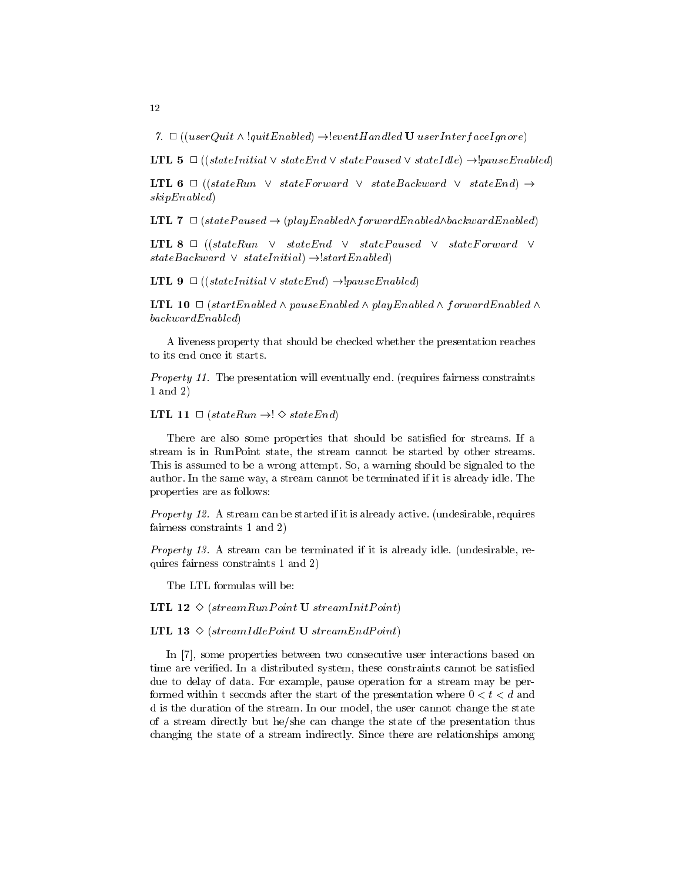7.  $\Box$  ((userQuit  $\land$  !quitEnabled)  $\rightarrow$  !eventHandled U userInterfaceIgnore)

**LTL 5**  $\Box$  ((stateInitial  $\lor$  stateEnd  $\lor$  statePaused  $\lor$  stateIdle)  $\rightarrow !{pauseEnabled}$ )

**LTL 6**  $\Box$  ((stateRun  $\lor$  stateForward  $\lor$  stateBackward  $\lor$  stateEnd)  $\rightarrow$ skipEnabled)

**LTL 7**  $\Box$  (statePaused  $\rightarrow$  (playEnabled $\land$ forwardEnabled $\land$ backwardEnabled)

LTL 8  $\Box$  ((stateRun  $\lor$  stateEnd  $\lor$  statePaused  $\lor$  stateForward  $\lor$  $stateBackward \vee stateInitial) \rightarrow |startEnabled\rangle$ 

**LTL 9**  $\Box$  ((stateInitial  $\lor$  stateEnd)  $\rightarrow$  [pauseEnabled)

**LTL 10**  $\Box$  (startEnabled  $\land$  pauseEnabled  $\land$  playEnabled  $\land$  forwardEnabled  $\land$ backwardEnabled)

A liveness property that should be checked whether the presentation reaches to its end once it starts.

Property 11. The presentation will eventually end. (requires fairness constraints 1 and 2)

LTL 11  $\Box$  (stateRun  $\rightarrow$ !  $\diamond$  stateEnd)

There are also some properties that should be satisfied for streams. If a stream is in RunPoint state, the stream cannot be started by other streams. This is assumed to be a wrong attempt. So, a warning should be signaled to the author. In the same way, a stream cannot be terminated if it is already idle. The properties are as follows:

Property 12. A stream can be started if it is already active. (undesirable, requires fairness constraints 1 and 2)

Property 13. A stream can be terminated if it is already idle. (undesirable, requires fairness constraints 1 and 2)

The LTL formulas will be:

**LTL 12**  $\Diamond$  (streamRunPoint **U** streamInitPoint)

**LTL 13**  $\Diamond$  (streamIdlePoint **U** streamEndPoint)

In [7], some properties between two consecutive user interactions based on time are verified. In a distributed system, these constraints cannot be satisfied due to delay of data. For example, pause operation for a stream maybe performed within t seconds after the start of the presentation where  $0 < t < d$  and d is the duration of the stream. In our model, the user cannot change the state of a stream directly but he/she can change the state of the presentation thus changing the state of a stream indirectly. Since there are relationships among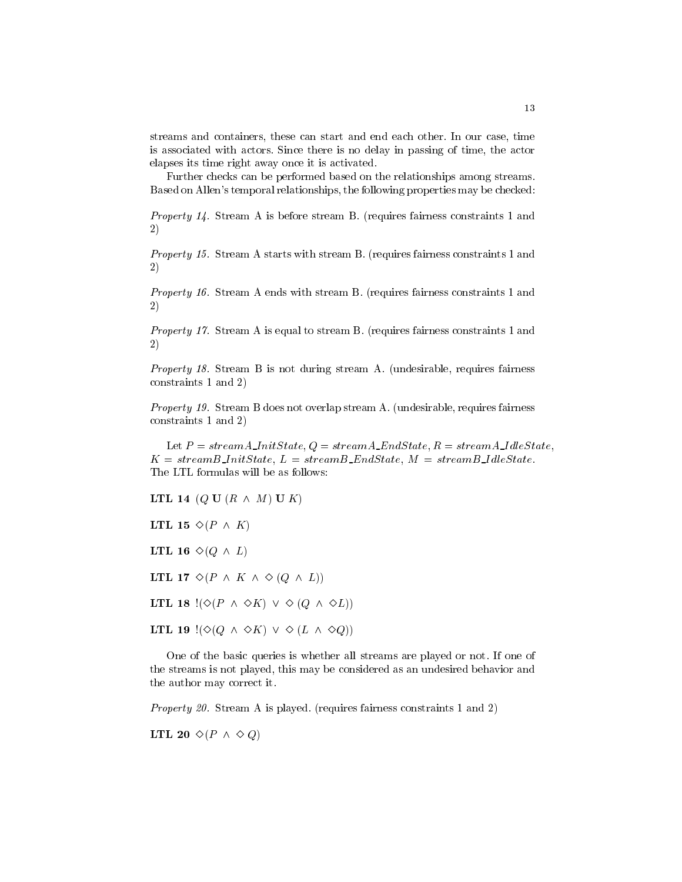streams and containers, these can start and end each other. In our case, time is associated with actors. Since there is no delay in passing of time, the actor elapses its time right away once it is activated.

Further checks can be performed based on the relationships among streams. Based on Allen's temporal relationships, the following properties may be checked:

Property 14. Stream A is before stream B. (requires fairness constraints 1 and  $2)$  $\sim$  ) and  $\sim$  100  $\sim$  200  $\sim$  200  $\sim$ 

Property 15. Stream A starts with stream B. (requires fairness constraints 1 and 2)

Property 16. Stream A ends with stream B. (requires fairness constraints 1 and 2)

Property 17. Stream A is equal to stream B. (requires fairness constraints 1 and 2)

Property 18. Stream B is not during stream A. (undesirable, requires fairness constraints 1 and 2)

Property 19. Stream B does not overlap stream A. (undesirable, requires fairness constraints 1 and 2)

Let  $P = streamA\_InitState$ ,  $Q = streamA\_EndState$ ,  $R = streamA\_idleState$ ,  $K = streamB\_InitState, L = streamB\_EndState, M = streamB\_IdeState.$ The LTL formulas will be as follows:

LTL 14 (Q U (R  $\wedge$  M) U K)

LTL 15  $\Diamond (P \land K)$ 

LTL 16  $\diamond (Q \wedge L)$ 

LTL 17  $\diamond (P \wedge K \wedge \diamond (Q \wedge L))$ 

LTL 18  $\left(\diamond (P \land \diamond K) \lor \diamond (Q \land \diamond L)\right)$ 

LTL 19  $\vert (\Diamond (Q \land \Diamond K) \lor \Diamond (L \land \Diamond Q)) \vert$ 

One of the basic queries is whether all streams are played or not. If one of the streams is not played, this may be considered as an undesired behavior and the author may correct it.

Property 20. Stream A is played. (requires fairness constraints 1 and 2)

LTL 20  $\diamond (P \wedge \diamond Q)$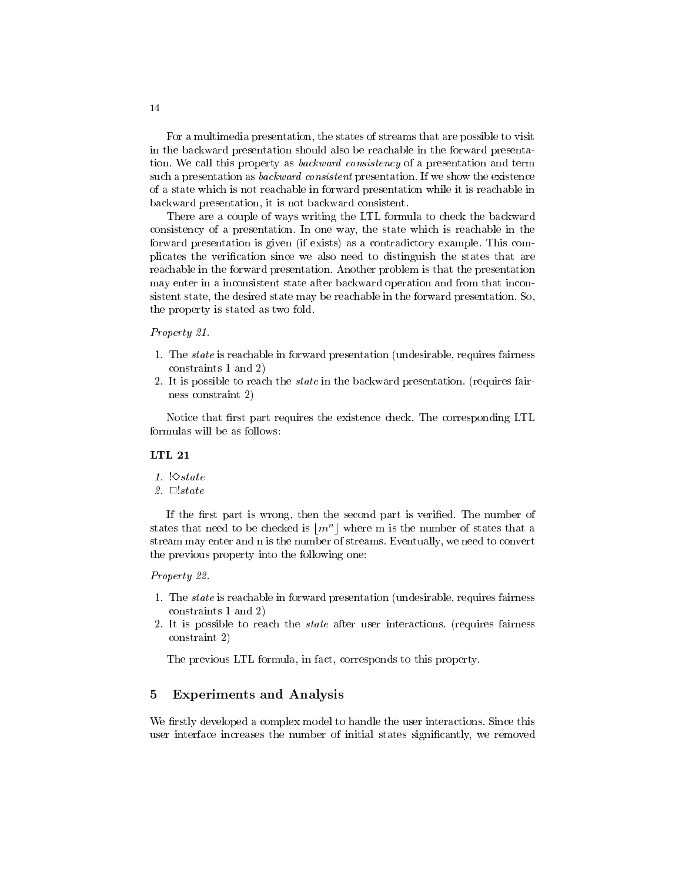For a multimedia presentation, the states of streams that are possible to visit in the backward presentation should also be reachable in the forward presentation. We call this property as backward consistency of a presentation and term such a presentation as *backward consistent* presentation. If we show the existence of a state which is not reachable in forward presentation while it is reachable in backward presentation, it is not backward consistent.

There are a couple of ways writing the LTL formula to check the backward consistency of a presentation. In one way, the state which is reachable in the forward presentation is given (if exists) as a contradictory example. This complicates the verification since we also need to distinguish the states that are reachable in the forward presentation. Another problem is that the presentation may enter in a inconsistent state after backward operation and from that inconsistent state, the desired state may be reachable in the forward presentation. So, the property is stated as two fold.

#### Property 21.

- 1. The state is reachable in forward presentation (undesirable, requires fairness constraints 1 and 2)
- 2. It is possible to reach the state in the backward presentation. (requires fairness constraint 2)

Notice that first part requires the existence check. The corresponding LTL formulas will be as follows:

#### LTL 21

- 1.  $\Diamond$ state
- 2.  $\Box$ !state

If the first part is wrong, then the second part is verified. The number of states that need to be checked is  $\lfloor m^n \rfloor$  where m is the number of states that a stream may enter and n is the number of streams. Eventually, we need to convert the previous property into the following one:

#### Property 22.

- 1. The state is reachable in forward presentation (undesirable, requires fairness constraints 1 and 2)
- 2. It is possible to reach the state after user interactions. (requires fairness constraint 2)

The previous LTL formula, in fact, corresponds to this property.

#### 5 Experiments and Analysis 5

We firstly developed a complex model to handle the user interactions. Since this user interface increases the number of initial states significantly, we removed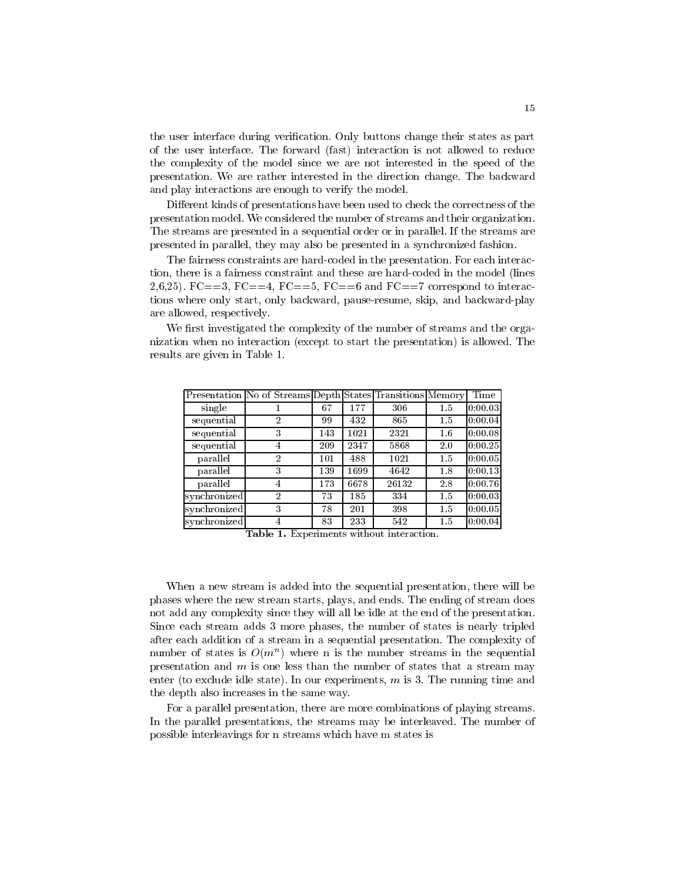the user interface during verication. Only buttons change their states as part of the user interface. The forward (fast) interaction isnot allowed to reduce the complexity of the model since we are not interested in the speed of the presentation. We are rather interested in the direction change. The backward and play interactions are enough to verify the model.

Different kinds of presentations have been used to check the correctness of the presentation model. We considered the number of streams and their organization. The streams are presented in a sequential order or in parallel. If the streams are presented in parallel, they may also be presented in a synchronized fashion.

The fairness constraints are hard-coded in the presentation. For each interaction, there is a fairness constraint and these are hard-coded in the model (lines 2,6,25). FC==3, FC==4, FC==5, FC==6 and FC==7 correspond to interactions where only start, only backward, pause-resume, skip, and backward-play are allowed, respectively.

We first investigated the complexity of the number of streams and the organization when no interaction (except to start the presentation) is allowed. The results are given in Table 1.

|              | Presentation No of Streams Depth States Transitions Memory |     |      |       |         | Time              |
|--------------|------------------------------------------------------------|-----|------|-------|---------|-------------------|
| single       |                                                            | 67  | 177  | 306   | 1.5     | $ 0:00.03\rangle$ |
| sequential   | $\overline{2}$                                             | 99  | 432  | 865   | 1.5     | 0:00.04           |
| sequential   | 3                                                          | 143 | 1021 | 2321  | $1.6\,$ | 10:00.08          |
| sequential   | 4                                                          | 209 | 2347 | 5868  | 2.0     | 0:00.25           |
| parallel     | $\overline{2}$                                             | 101 | 488  | 1021  | 1.5     | 10:00.05          |
| parallel     | 3                                                          | 139 | 1699 | 4642  | 1.8     | 0:00.13           |
| parallel     | 4                                                          | 173 | 6678 | 26132 | 2.8     | [0:00.76]         |
| synchronized | 2                                                          | 73  | 185  | 334   | 1.5     | $ 0:00.03\rangle$ |
| synchronized | 3                                                          | 78  | 201  | 398   | 1.5     | 0:00.05           |
| synchronized | 4                                                          | 83  | 233  | 542   | 1.5     | 0:00.04           |

Table 1. Experiments without interaction.

When a new stream is added into the sequential presentation, there will be phases where the new stream starts, plays, and ends. The ending of stream does not add any complexity since they will all be idle at the end of the presentation. Since each stream adds 3 more phases, the number of states is nearly tripled after each addition of a stream in a sequential presentation. The complexity of  $\min$  or states is  $O(m^+)$  where n is the number streams in the sequential presentation and  $m$  is one less than the number of states that a stream may enter (to exclude idle state). In our experiments,  $m$  is 3. The running time and the depth also increases in the same way.

For a parallel presentation, there are more combinations of playing streams. In the parallel presentations, the streams may be interleaved. The number of possible interleavings for n streams which have m states is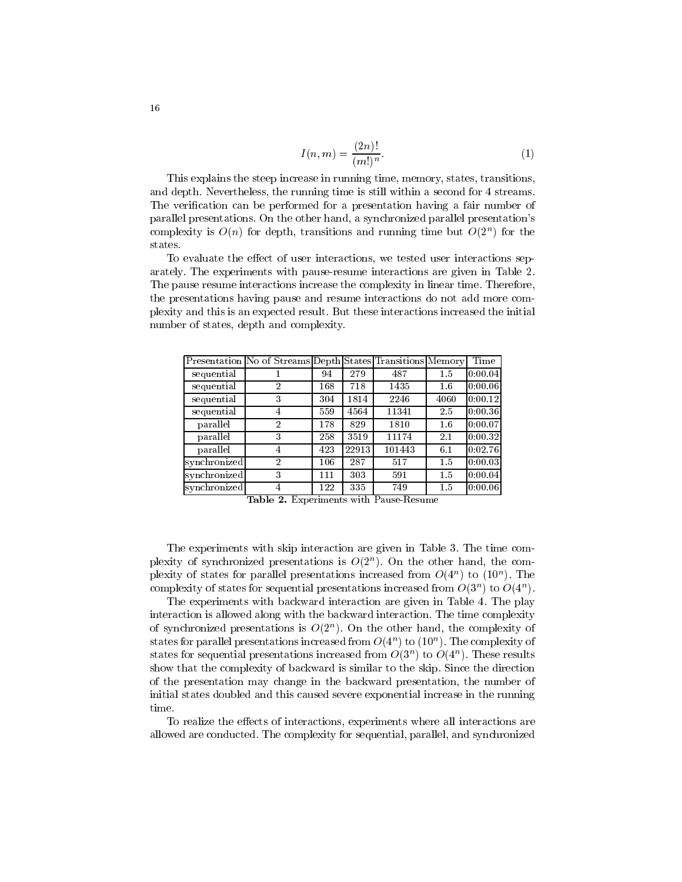$$
I(n,m) = \frac{(2n)!}{(m!)^n}.
$$
 (1)

This explains the steep increase in running time, memory, states, transitions, and depth. Nevertheless, the running time is still within a second for 4 streams. The verification can be performed for a presentation having a fair number of parallel presentations. On the other hand, a synchronized parallel presentation's complexity is  $O(n)$  for depth, transitions and running time but  $O(2^n)$  for the states.

To evaluate the effect of user interactions, we tested user interactions separately. The experiments with pause-resume interactions are given in Table 2. The pause resume interactions increase the complexity in linear time. Therefore, the presentations having pause and resume interactions do not add more complexity and this is an expected result. But these interactions increased the initial number of states, depth and complexity.

|              | Presentation No of Streams Depth States Transitions Memory |     |       |        |      | Time              |
|--------------|------------------------------------------------------------|-----|-------|--------|------|-------------------|
| sequential   |                                                            | 94  | 279   | 487    | 1.5  | 0:00.04           |
| sequential   | $\overline{2}$                                             | 168 | 718   | 1435   | 1.6  | 0:00.06           |
| sequential   | 3                                                          | 304 | 1814  | 2246   | 4060 | [0:00.12]         |
| sequential   | 4                                                          | 559 | 4564  | 11341  | 2.5  | 0:00.36           |
| parallel     | $\overline{2}$                                             | 178 | 829   | 1810   | 1.6  | 10:00.07          |
| parallel     | 3                                                          | 258 | 3519  | 11174  | 2.1  | 0:00.32           |
| parallel     | 4                                                          | 423 | 22913 | 101443 | 6.1  | [0:02.76]         |
| synchronized | $\overline{2}$                                             | 106 | 287   | 517    | 1.5  | $ 0:00.03\rangle$ |
| synchronized | 3                                                          | 111 | 303   | 591    | 1.5  | 0:00.04           |
| synchronized | 4                                                          | 122 | 335   | 749    | 1.5  | 0:00.06           |

Table 2. Experiments with Pause-Resume

The experiments with skip interaction are given in Table 3. The time com- $\mathsf{p}_{\mathsf{I}}$  because  $\mathsf{p}_{\mathsf{I}}$  and  $\mathsf{p}_{\mathsf{I}}$  are compared because in  $\mathsf{p}_{\mathsf{I}}$  and  $\mathsf{p}_{\mathsf{I}}$  and  $\mathsf{p}_{\mathsf{I}}$  are compared because in  $\mathsf{p}_{\mathsf{I}}$  and  $\mathsf{p}_{\mathsf{I}}$  are compared by  $\mathsf{p}_{\mathsf{I}}$ plexity of states for parallel presentations increased from  $O(4^+)$  to  $(10^+)$ . The complexity of states for sequential presentations increased from  $O(3^n)$  to  $O(4^n)$ .

The experiments with backward interaction are given in Table 4. The play interaction is allowed along with the backward interaction. The time complexity of synchronized presentations is  $O(2^n)$ . On the other hand, the complexity of states for parallel presentations increased from  $O(4^n)$  to  $(10^n)$ . The complexity of states for sequential presentations increased from  $O(3^n)$  to  $O(4^n)$ . These results show that the complexity of backward is similar to the skip. Since the direction of the presentation may change in the backward presentation, the number of initial states doubled and this caused severe exponential increase in the running time.

To realize the effects of interactions, experiments where all interactions are allowed are conducted. The complexity for sequential, parallel, and synchronized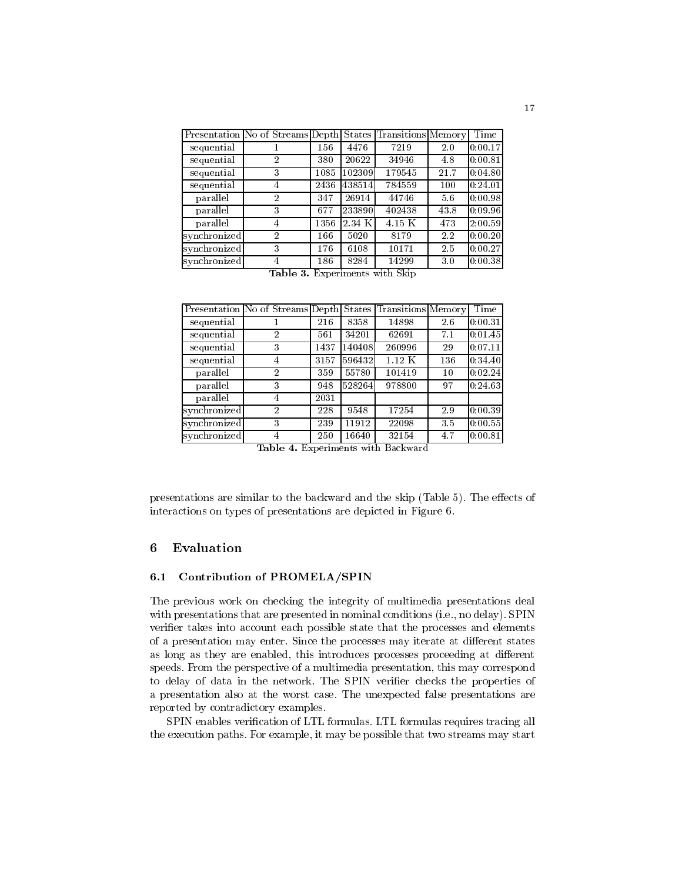|              | Presentation No of Streams Depth States Transitions Memory |      |         |                                                      |      | Time      |
|--------------|------------------------------------------------------------|------|---------|------------------------------------------------------|------|-----------|
| sequential   |                                                            | 156  | 4476    | 7219                                                 | 2.0  | [0:00.17] |
| sequential   | 2                                                          | 380  | 20622   | 34946                                                | 4.8  | 0:00.81   |
| sequential   | 3                                                          | 1085 | 102309  | 179545                                               | 21.7 | 0:04.80   |
| sequential   | 4                                                          | 2436 | 438514  | 784559                                               | 100  | 0:24.01   |
| parallel     | $\overline{2}$                                             | 347  | 26914   | 44746                                                | 5.6  | [0:00.98] |
| parallel     | 3                                                          | 677  | 2338901 | 402438                                               | 43.8 | [0:09.96] |
| parallel     | 4                                                          | 1356 | 2.34 K  | 4.15 K                                               | 473  | 2:00.59   |
| synchronized | $\overline{2}$                                             | 166  | 5020    | 8179                                                 | 2.2  | 0:00.20   |
| synchronized | 3                                                          | 176  | 6108    | 10171                                                | 2.5  | [0.00.27] |
| synchronized | 4                                                          | 186  | 8284    | 14299                                                | 3.0  | 0:00.38   |
|              | $T_0$ $\sim$ $\sim$ $\sim$ $\sim$                          |      |         | $E_{\text{min}}$ orim onto $m+1$ , $Cl_{\text{min}}$ |      |           |

| <b>Table 3.</b> Experiments with Skip |
|---------------------------------------|
|---------------------------------------|

|              | Presentation No of Streams Depth |      |        | States Transitions Memory |     | Time    |  |
|--------------|----------------------------------|------|--------|---------------------------|-----|---------|--|
| sequential   |                                  | 216  | 8358   | 14898                     | 2.6 | 0:00.31 |  |
| sequential   | $\overline{2}$                   | 561  | 34201  | 62691                     | 7.1 | 0:01.45 |  |
| sequential   | 3                                | 1437 | 140408 | 260996                    | 29  | 0:07.11 |  |
| sequential   | 4                                | 3157 | 596432 | $1.12\,K$                 | 136 | 0:34.40 |  |
| parallel     | $\overline{2}$                   | 359  | 55780  | 101419                    | 10  | 0:02.24 |  |
| parallel     | 3                                | 948  | 528264 | 978800                    | 97  | 0:24.63 |  |
| parallel     | 4                                | 2031 |        |                           |     |         |  |
| synchronized | $\overline{2}$                   | 228  | 9548   | 17254                     | 2.9 | 0:00.39 |  |
| synchronized | 3                                | 239  | 11912  | 22098                     | 3.5 | 0:00.55 |  |
| synchronized | 4                                | 250  | 16640  | 32154                     | 4.7 | 0:00.81 |  |

Table 4. Experiments with Backward

presentations are similar to the backward and the skip (Table  $5$ ). The effects of interactions on types of presentations are depicted in Figure 6.

#### 6 **Evaluation**

### 6.1 Contribution of PROMELA/SPIN

The previous work on checking the integrity of multimedia presentations deal with presentations that are presented in nominal conditions (i.e., no delay). SPIN verifier takes into account each possible state that the processes and elements of a presentation may enter. Since the processes may iterate at different states as long as they are enabled, this introduces processes proceeding at different speeds. From the perspective of a multimedia presentation, this may correspond to delay of data in the network. The SPIN verier checks the properties of a presentation also at the worst case. The unexpected false presentations are reported by contradictory examples.

SPIN enables verification of LTL formulas. LTL formulas requires tracing all the execution paths. For example, it may be possible that two streams may start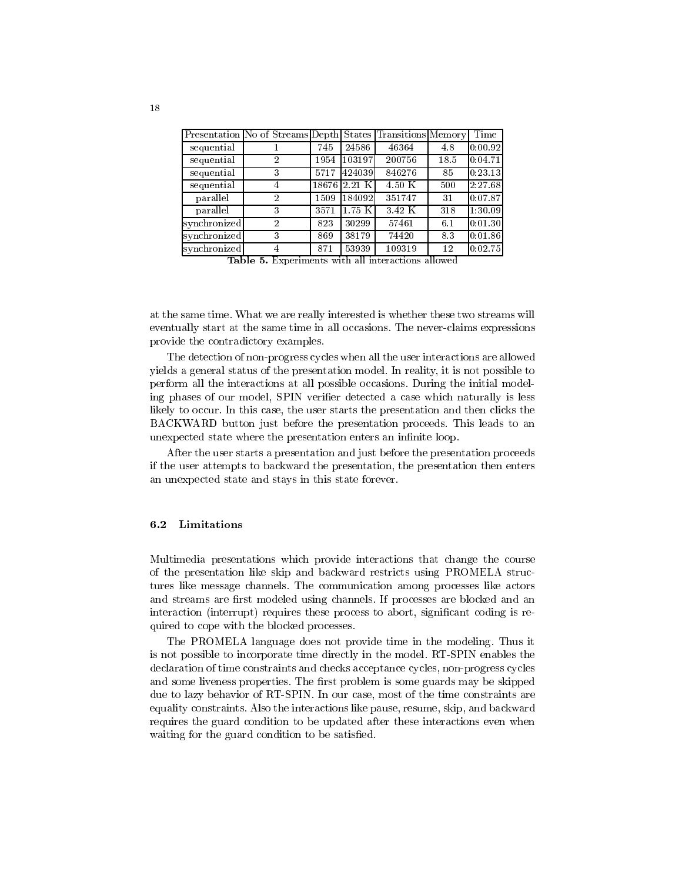|              | Presentation No of Streams Depth States Transitions Memory |       |           |           |      | Time    |  |
|--------------|------------------------------------------------------------|-------|-----------|-----------|------|---------|--|
| sequential   |                                                            | 745   | 24586     | 46364     | 4.8  | 0:00.92 |  |
| sequential   | 2                                                          | 1954  | 103197    | 200756    | 18.5 | 0:04.71 |  |
| sequential   | 3                                                          | 5717  | 424039    | 846276    | 85   | 0:23.13 |  |
| sequential   | 4                                                          | 18676 | 2.21 K    | $4.50\,K$ | 500  | 2:27.68 |  |
| parallel     | 2                                                          | 1509  | 184092    | 351747    | 31   | 0:07.87 |  |
| parallel     | 3                                                          | 3571  | $1.75\,K$ | 3.42 K    | 318  | 1:30.09 |  |
| synchronized | $\overline{2}$                                             | 823   | 30299     | 57461     | 6.1  | 0:01.30 |  |
| synchronized | 3                                                          | 869   | 38179     | 74420     | 83   | 0:01.86 |  |
| synchronized | 4                                                          | 871   | 53939     | 109319    | 12   | 0:02.75 |  |

Table 5. Experiments with all interactions allowed

at the same time. What we are really interested is whether these two streams will eventually start at the same time in all occasions. The never-claims expressions provide the contradictory examples.

The detection of non-progress cycles when all the user interactions are allowed yields a general status of the presentation model. In reality, it is not possible to perform all the interactions at all possible occasions. During the initial modeling phases of our model, SPIN verifier detected a case which naturally is less likely to occur. In this case, the user starts the presentation and then clicks the BACKWARD button just before the presentation proceeds. This leads to an unexpected state where the presentation enters an infinite loop.

After the user starts a presentation and just before the presentation proceeds if the user attempts to backward the presentation, the presentation then enters an unexpected state and stays in this state forever.

#### 6.2 Limitations

Multimedia presentations which provide interactions that change the course of the presentation like skip and backward restricts using PROMELA structures like message channels. The communication among processes like actors and streams are first modeled using channels. If processes are blocked and an interaction (interrupt) requires these process to abort, significant coding is required to cope with the blocked processes.

The PROMELA language does not provide time in the modeling. Thus it is not possible to incorporate time directly in the model. RT-SPIN enables the declaration of time constraints and checks acceptance cycles, non-progress cycles and some liveness properties. The first problem is some guards may be skipped due to lazy behavior of RT-SPIN. In our case, most of the time constraints are equality constraints. Also the interactions like pause, resume, skip, and backward requires the guard condition to be updated after these interactions even when waiting for the guard condition to be satisfied.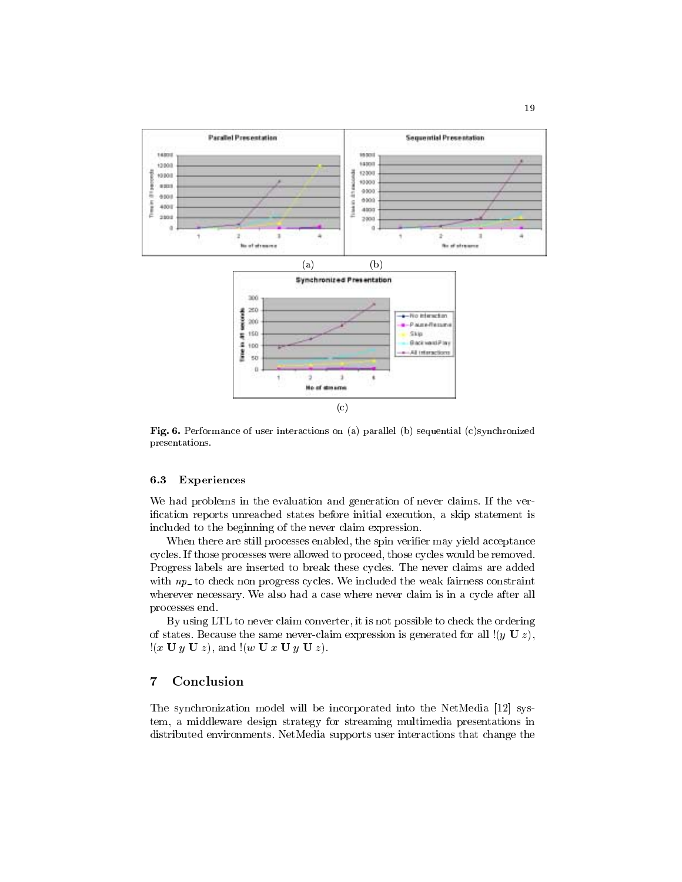

Fig. 6. Performance of user interactions on (a) parallel (b) sequential (c)synchronized presentations.

#### 6.3 Experiences

We had problems in the evaluation and generation of never claims. If the verication reports unreached states before initial execution, a skip statement is included to the beginning of the never claim expression.

When there are still processes enabled, the spin verifier may yield acceptance cycles. If those processes were allowed to proceed, those cycles would be removed. Progress labels are inserted to break these cycles. The never claims are added with  $np$  to check non progress cycles. We included the weak fairness constraint wherever necessary. We also had a case where never claim is in a cycle after all processes end.

By using LTL to never claim converter, it is not possible to check the ordering of states. Because the same never-claim expression is generated for all  $(y \cup z)$ ,  $!(x \mathbf{U} y \mathbf{U} z)$ , and  $!(w \mathbf{U} x \mathbf{U} y \mathbf{U} z)$ .

#### $\overline{7}$ Conclusion

The synchronization model will be incorporated into the NetMedia [12] system, a middleware design strategy for streaming multimedia presentations in distributed environments. NetMedia supports user interactions that change the